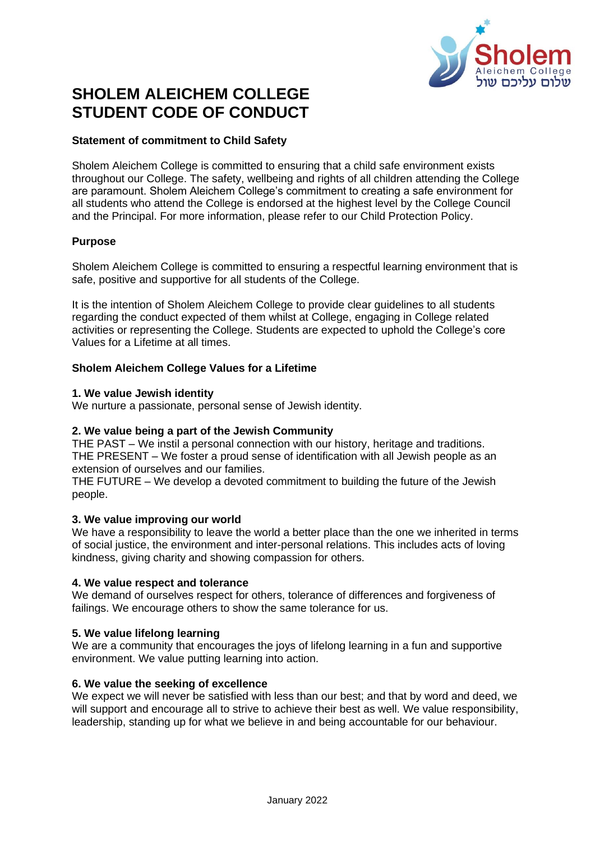

# **SHOLEM ALEICHEM COLLEGE STUDENT CODE OF CONDUCT**

#### **Statement of commitment to Child Safety**

Sholem Aleichem College is committed to ensuring that a child safe environment exists throughout our College. The safety, wellbeing and rights of all children attending the College are paramount. Sholem Aleichem College's commitment to creating a safe environment for all students who attend the College is endorsed at the highest level by the College Council and the Principal. For more information, please refer to our Child Protection Policy.

## **Purpose**

Sholem Aleichem College is committed to ensuring a respectful learning environment that is safe, positive and supportive for all students of the College.

It is the intention of Sholem Aleichem College to provide clear guidelines to all students regarding the conduct expected of them whilst at College, engaging in College related activities or representing the College. Students are expected to uphold the College's core Values for a Lifetime at all times.

## **Sholem Aleichem College Values for a Lifetime**

#### **1. We value Jewish identity**

We nurture a passionate, personal sense of Jewish identity.

#### **2. We value being a part of the Jewish Community**

THE PAST – We instil a personal connection with our history, heritage and traditions. THE PRESENT – We foster a proud sense of identification with all Jewish people as an extension of ourselves and our families.

THE FUTURE – We develop a devoted commitment to building the future of the Jewish people.

#### **3. We value improving our world**

We have a responsibility to leave the world a better place than the one we inherited in terms of social justice, the environment and inter-personal relations. This includes acts of loving kindness, giving charity and showing compassion for others.

#### **4. We value respect and tolerance**

We demand of ourselves respect for others, tolerance of differences and forgiveness of failings. We encourage others to show the same tolerance for us.

#### **5. We value lifelong learning**

We are a community that encourages the joys of lifelong learning in a fun and supportive environment. We value putting learning into action.

#### **6. We value the seeking of excellence**

We expect we will never be satisfied with less than our best; and that by word and deed, we will support and encourage all to strive to achieve their best as well. We value responsibility, leadership, standing up for what we believe in and being accountable for our behaviour.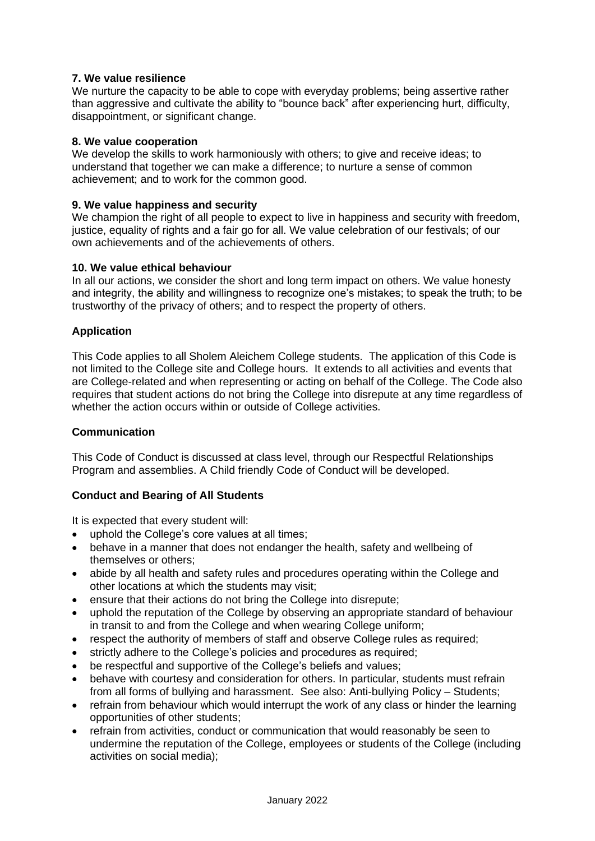## **7. We value resilience**

We nurture the capacity to be able to cope with everyday problems; being assertive rather than aggressive and cultivate the ability to "bounce back" after experiencing hurt, difficulty, disappointment, or significant change.

#### **8. We value cooperation**

We develop the skills to work harmoniously with others; to give and receive ideas; to understand that together we can make a difference; to nurture a sense of common achievement; and to work for the common good.

#### **9. We value happiness and security**

We champion the right of all people to expect to live in happiness and security with freedom, justice, equality of rights and a fair go for all. We value celebration of our festivals; of our own achievements and of the achievements of others.

#### **10. We value ethical behaviour**

In all our actions, we consider the short and long term impact on others. We value honesty and integrity, the ability and willingness to recognize one's mistakes; to speak the truth; to be trustworthy of the privacy of others; and to respect the property of others.

#### **Application**

This Code applies to all Sholem Aleichem College students. The application of this Code is not limited to the College site and College hours. It extends to all activities and events that are College-related and when representing or acting on behalf of the College. The Code also requires that student actions do not bring the College into disrepute at any time regardless of whether the action occurs within or outside of College activities.

#### **Communication**

This Code of Conduct is discussed at class level, through our Respectful Relationships Program and assemblies. A Child friendly Code of Conduct will be developed.

#### **Conduct and Bearing of All Students**

It is expected that every student will:

- uphold the College's core values at all times:
- behave in a manner that does not endanger the health, safety and wellbeing of themselves or others;
- abide by all health and safety rules and procedures operating within the College and other locations at which the students may visit;
- ensure that their actions do not bring the College into disrepute;
- uphold the reputation of the College by observing an appropriate standard of behaviour in transit to and from the College and when wearing College uniform;
- respect the authority of members of staff and observe College rules as required;
- strictly adhere to the College's policies and procedures as required;
- be respectful and supportive of the College's beliefs and values;
- behave with courtesy and consideration for others. In particular, students must refrain from all forms of bullying and harassment. See also: Anti-bullying Policy – Students;
- refrain from behaviour which would interrupt the work of any class or hinder the learning opportunities of other students;
- refrain from activities, conduct or communication that would reasonably be seen to undermine the reputation of the College, employees or students of the College (including activities on social media);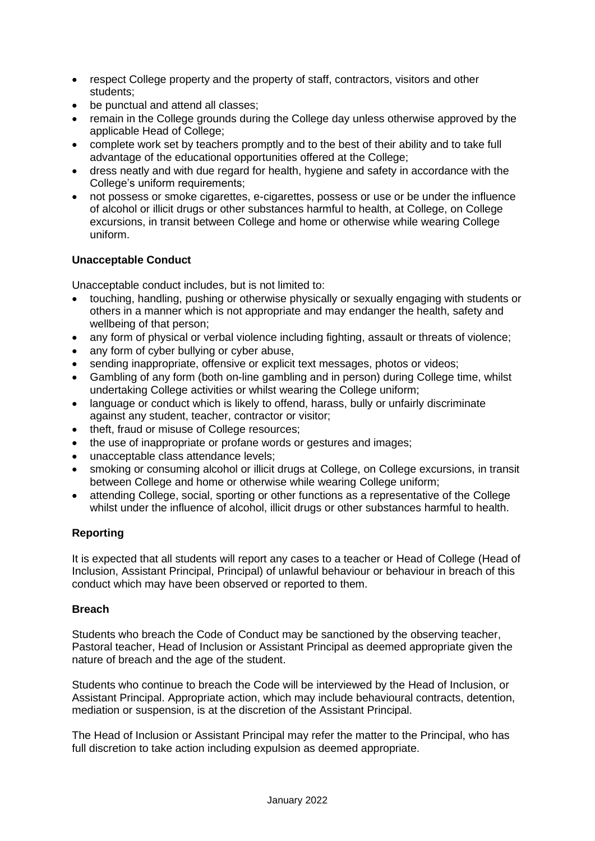- respect College property and the property of staff, contractors, visitors and other students;
- be punctual and attend all classes:
- remain in the College grounds during the College day unless otherwise approved by the applicable Head of College;
- complete work set by teachers promptly and to the best of their ability and to take full advantage of the educational opportunities offered at the College;
- dress neatly and with due regard for health, hygiene and safety in accordance with the College's uniform requirements;
- not possess or smoke cigarettes, e-cigarettes, possess or use or be under the influence of alcohol or illicit drugs or other substances harmful to health, at College, on College excursions, in transit between College and home or otherwise while wearing College uniform.

## **Unacceptable Conduct**

Unacceptable conduct includes, but is not limited to:

- touching, handling, pushing or otherwise physically or sexually engaging with students or others in a manner which is not appropriate and may endanger the health, safety and wellbeing of that person;
- any form of physical or verbal violence including fighting, assault or threats of violence;
- any form of cyber bullying or cyber abuse,
- sending inappropriate, offensive or explicit text messages, photos or videos;
- Gambling of any form (both on-line gambling and in person) during College time, whilst undertaking College activities or whilst wearing the College uniform;
- language or conduct which is likely to offend, harass, bully or unfairly discriminate against any student, teacher, contractor or visitor;
- theft, fraud or misuse of College resources:
- the use of inappropriate or profane words or gestures and images;
- unacceptable class attendance levels:
- smoking or consuming alcohol or illicit drugs at College, on College excursions, in transit between College and home or otherwise while wearing College uniform;
- attending College, social, sporting or other functions as a representative of the College whilst under the influence of alcohol, illicit drugs or other substances harmful to health.

## **Reporting**

It is expected that all students will report any cases to a teacher or Head of College (Head of Inclusion, Assistant Principal, Principal) of unlawful behaviour or behaviour in breach of this conduct which may have been observed or reported to them.

#### **Breach**

Students who breach the Code of Conduct may be sanctioned by the observing teacher, Pastoral teacher, Head of Inclusion or Assistant Principal as deemed appropriate given the nature of breach and the age of the student.

Students who continue to breach the Code will be interviewed by the Head of Inclusion, or Assistant Principal. Appropriate action, which may include behavioural contracts, detention, mediation or suspension, is at the discretion of the Assistant Principal.

The Head of Inclusion or Assistant Principal may refer the matter to the Principal, who has full discretion to take action including expulsion as deemed appropriate.